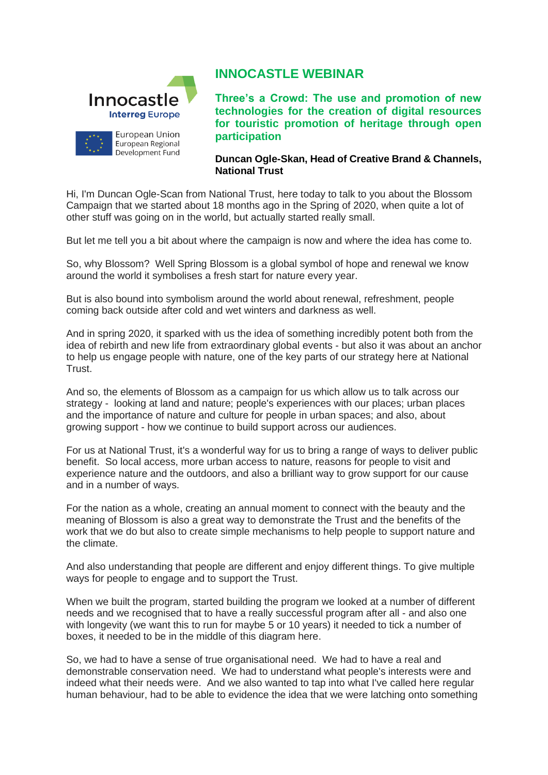

## **INNOCASTLE WEBINAR**

**Three's a Crowd: The use and promotion of new technologies for the creation of digital resources for touristic promotion of heritage through open participation**

## **Duncan Ogle-Skan, Head of Creative Brand & Channels, National Trust**

Hi, I'm Duncan Ogle-Scan from National Trust, here today to talk to you about the Blossom Campaign that we started about 18 months ago in the Spring of 2020, when quite a lot of other stuff was going on in the world, but actually started really small.

But let me tell you a bit about where the campaign is now and where the idea has come to.

So, why Blossom? Well Spring Blossom is a global symbol of hope and renewal we know around the world it symbolises a fresh start for nature every year.

But is also bound into symbolism around the world about renewal, refreshment, people coming back outside after cold and wet winters and darkness as well.

And in spring 2020, it sparked with us the idea of something incredibly potent both from the idea of rebirth and new life from extraordinary global events - but also it was about an anchor to help us engage people with nature, one of the key parts of our strategy here at National Trust.

And so, the elements of Blossom as a campaign for us which allow us to talk across our strategy - looking at land and nature; people's experiences with our places; urban places and the importance of nature and culture for people in urban spaces; and also, about growing support - how we continue to build support across our audiences.

For us at National Trust, it's a wonderful way for us to bring a range of ways to deliver public benefit. So local access, more urban access to nature, reasons for people to visit and experience nature and the outdoors, and also a brilliant way to grow support for our cause and in a number of ways.

For the nation as a whole, creating an annual moment to connect with the beauty and the meaning of Blossom is also a great way to demonstrate the Trust and the benefits of the work that we do but also to create simple mechanisms to help people to support nature and the climate.

And also understanding that people are different and enjoy different things. To give multiple ways for people to engage and to support the Trust.

When we built the program, started building the program we looked at a number of different needs and we recognised that to have a really successful program after all - and also one with longevity (we want this to run for maybe 5 or 10 years) it needed to tick a number of boxes, it needed to be in the middle of this diagram here.

So, we had to have a sense of true organisational need. We had to have a real and demonstrable conservation need. We had to understand what people's interests were and indeed what their needs were. And we also wanted to tap into what I've called here regular human behaviour, had to be able to evidence the idea that we were latching onto something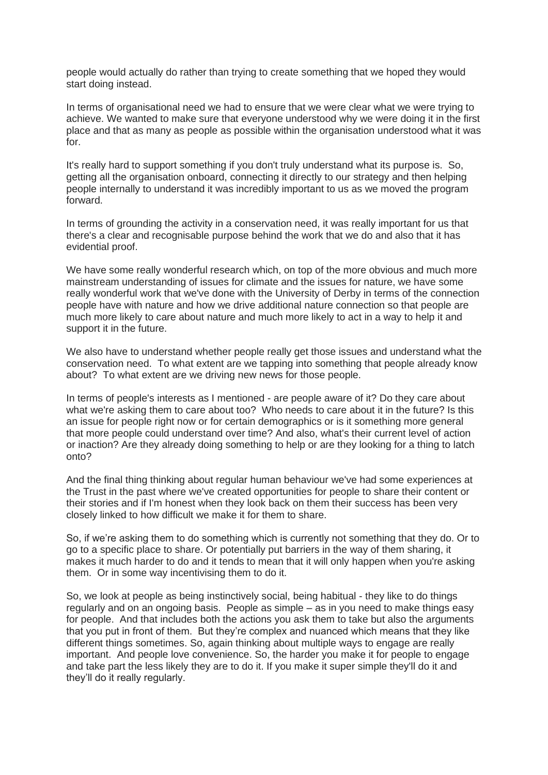people would actually do rather than trying to create something that we hoped they would start doing instead.

In terms of organisational need we had to ensure that we were clear what we were trying to achieve. We wanted to make sure that everyone understood why we were doing it in the first place and that as many as people as possible within the organisation understood what it was for.

It's really hard to support something if you don't truly understand what its purpose is. So, getting all the organisation onboard, connecting it directly to our strategy and then helping people internally to understand it was incredibly important to us as we moved the program forward.

In terms of grounding the activity in a conservation need, it was really important for us that there's a clear and recognisable purpose behind the work that we do and also that it has evidential proof.

We have some really wonderful research which, on top of the more obvious and much more mainstream understanding of issues for climate and the issues for nature, we have some really wonderful work that we've done with the University of Derby in terms of the connection people have with nature and how we drive additional nature connection so that people are much more likely to care about nature and much more likely to act in a way to help it and support it in the future.

We also have to understand whether people really get those issues and understand what the conservation need. To what extent are we tapping into something that people already know about? To what extent are we driving new news for those people.

In terms of people's interests as I mentioned - are people aware of it? Do they care about what we're asking them to care about too? Who needs to care about it in the future? Is this an issue for people right now or for certain demographics or is it something more general that more people could understand over time? And also, what's their current level of action or inaction? Are they already doing something to help or are they looking for a thing to latch onto?

And the final thing thinking about regular human behaviour we've had some experiences at the Trust in the past where we've created opportunities for people to share their content or their stories and if I'm honest when they look back on them their success has been very closely linked to how difficult we make it for them to share.

So, if we're asking them to do something which is currently not something that they do. Or to go to a specific place to share. Or potentially put barriers in the way of them sharing, it makes it much harder to do and it tends to mean that it will only happen when you're asking them. Or in some way incentivising them to do it.

So, we look at people as being instinctively social, being habitual - they like to do things regularly and on an ongoing basis. People as simple – as in you need to make things easy for people. And that includes both the actions you ask them to take but also the arguments that you put in front of them. But they're complex and nuanced which means that they like different things sometimes. So, again thinking about multiple ways to engage are really important. And people love convenience. So, the harder you make it for people to engage and take part the less likely they are to do it. If you make it super simple they'll do it and they'll do it really regularly.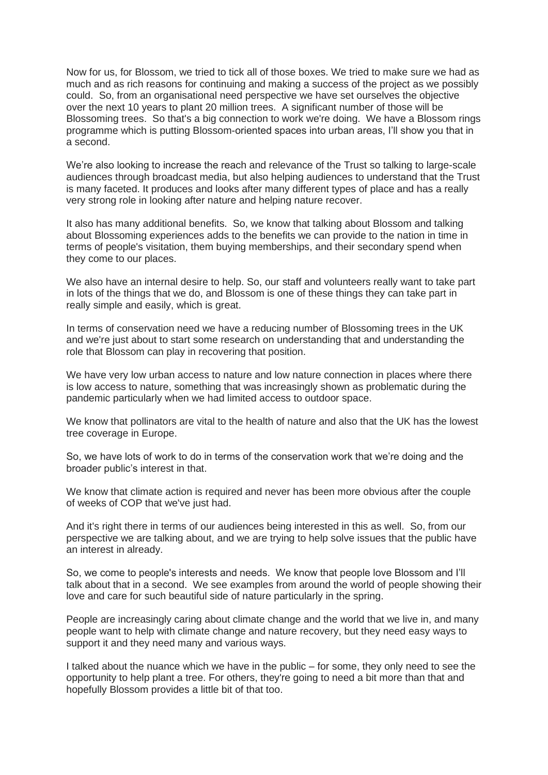Now for us, for Blossom, we tried to tick all of those boxes. We tried to make sure we had as much and as rich reasons for continuing and making a success of the project as we possibly could. So, from an organisational need perspective we have set ourselves the objective over the next 10 years to plant 20 million trees. A significant number of those will be Blossoming trees. So that's a big connection to work we're doing. We have a Blossom rings programme which is putting Blossom-oriented spaces into urban areas, I'll show you that in a second.

We're also looking to increase the reach and relevance of the Trust so talking to large-scale audiences through broadcast media, but also helping audiences to understand that the Trust is many faceted. It produces and looks after many different types of place and has a really very strong role in looking after nature and helping nature recover.

It also has many additional benefits. So, we know that talking about Blossom and talking about Blossoming experiences adds to the benefits we can provide to the nation in time in terms of people's visitation, them buying memberships, and their secondary spend when they come to our places.

We also have an internal desire to help. So, our staff and volunteers really want to take part in lots of the things that we do, and Blossom is one of these things they can take part in really simple and easily, which is great.

In terms of conservation need we have a reducing number of Blossoming trees in the UK and we're just about to start some research on understanding that and understanding the role that Blossom can play in recovering that position.

We have very low urban access to nature and low nature connection in places where there is low access to nature, something that was increasingly shown as problematic during the pandemic particularly when we had limited access to outdoor space.

We know that pollinators are vital to the health of nature and also that the UK has the lowest tree coverage in Europe.

So, we have lots of work to do in terms of the conservation work that we're doing and the broader public's interest in that.

We know that climate action is required and never has been more obvious after the couple of weeks of COP that we've just had.

And it's right there in terms of our audiences being interested in this as well. So, from our perspective we are talking about, and we are trying to help solve issues that the public have an interest in already.

So, we come to people's interests and needs. We know that people love Blossom and I'll talk about that in a second. We see examples from around the world of people showing their love and care for such beautiful side of nature particularly in the spring.

People are increasingly caring about climate change and the world that we live in, and many people want to help with climate change and nature recovery, but they need easy ways to support it and they need many and various ways.

I talked about the nuance which we have in the public – for some, they only need to see the opportunity to help plant a tree. For others, they're going to need a bit more than that and hopefully Blossom provides a little bit of that too.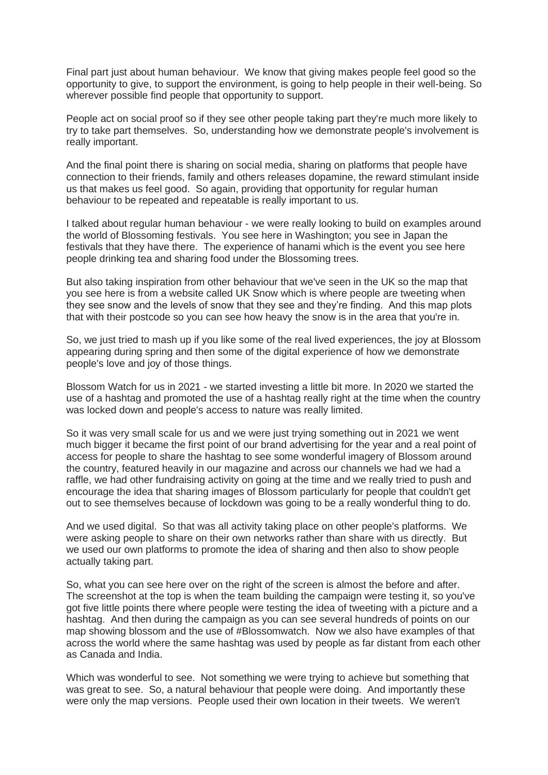Final part just about human behaviour. We know that giving makes people feel good so the opportunity to give, to support the environment, is going to help people in their well-being. So wherever possible find people that opportunity to support.

People act on social proof so if they see other people taking part they're much more likely to try to take part themselves. So, understanding how we demonstrate people's involvement is really important.

And the final point there is sharing on social media, sharing on platforms that people have connection to their friends, family and others releases dopamine, the reward stimulant inside us that makes us feel good. So again, providing that opportunity for regular human behaviour to be repeated and repeatable is really important to us.

I talked about regular human behaviour - we were really looking to build on examples around the world of Blossoming festivals. You see here in Washington; you see in Japan the festivals that they have there. The experience of hanami which is the event you see here people drinking tea and sharing food under the Blossoming trees.

But also taking inspiration from other behaviour that we've seen in the UK so the map that you see here is from a website called UK Snow which is where people are tweeting when they see snow and the levels of snow that they see and they're finding. And this map plots that with their postcode so you can see how heavy the snow is in the area that you're in.

So, we just tried to mash up if you like some of the real lived experiences, the joy at Blossom appearing during spring and then some of the digital experience of how we demonstrate people's love and joy of those things.

Blossom Watch for us in 2021 - we started investing a little bit more. In 2020 we started the use of a hashtag and promoted the use of a hashtag really right at the time when the country was locked down and people's access to nature was really limited.

So it was very small scale for us and we were just trying something out in 2021 we went much bigger it became the first point of our brand advertising for the year and a real point of access for people to share the hashtag to see some wonderful imagery of Blossom around the country, featured heavily in our magazine and across our channels we had we had a raffle, we had other fundraising activity on going at the time and we really tried to push and encourage the idea that sharing images of Blossom particularly for people that couldn't get out to see themselves because of lockdown was going to be a really wonderful thing to do.

And we used digital. So that was all activity taking place on other people's platforms. We were asking people to share on their own networks rather than share with us directly. But we used our own platforms to promote the idea of sharing and then also to show people actually taking part.

So, what you can see here over on the right of the screen is almost the before and after. The screenshot at the top is when the team building the campaign were testing it, so you've got five little points there where people were testing the idea of tweeting with a picture and a hashtag. And then during the campaign as you can see several hundreds of points on our map showing blossom and the use of #Blossomwatch. Now we also have examples of that across the world where the same hashtag was used by people as far distant from each other as Canada and India.

Which was wonderful to see. Not something we were trying to achieve but something that was great to see. So, a natural behaviour that people were doing. And importantly these were only the map versions. People used their own location in their tweets. We weren't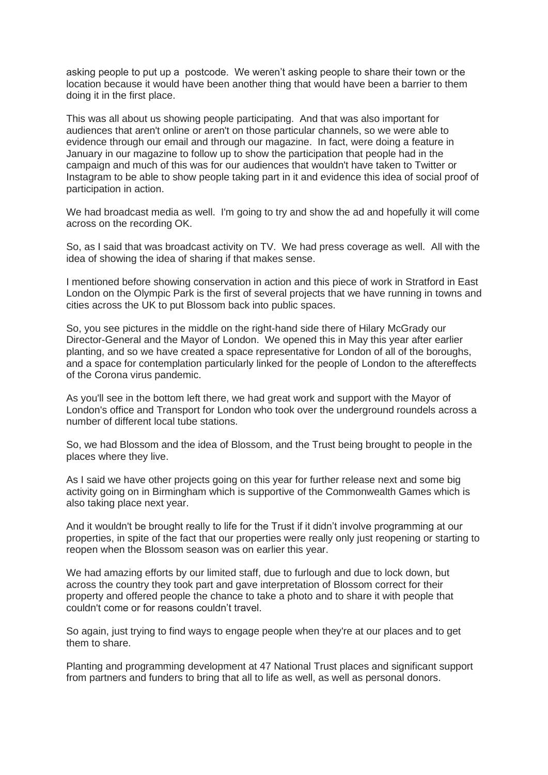asking people to put up a postcode. We weren't asking people to share their town or the location because it would have been another thing that would have been a barrier to them doing it in the first place.

This was all about us showing people participating. And that was also important for audiences that aren't online or aren't on those particular channels, so we were able to evidence through our email and through our magazine. In fact, were doing a feature in January in our magazine to follow up to show the participation that people had in the campaign and much of this was for our audiences that wouldn't have taken to Twitter or Instagram to be able to show people taking part in it and evidence this idea of social proof of participation in action.

We had broadcast media as well. I'm going to try and show the ad and hopefully it will come across on the recording OK.

So, as I said that was broadcast activity on TV. We had press coverage as well. All with the idea of showing the idea of sharing if that makes sense.

I mentioned before showing conservation in action and this piece of work in Stratford in East London on the Olympic Park is the first of several projects that we have running in towns and cities across the UK to put Blossom back into public spaces.

So, you see pictures in the middle on the right-hand side there of Hilary McGrady our Director-General and the Mayor of London. We opened this in May this year after earlier planting, and so we have created a space representative for London of all of the boroughs, and a space for contemplation particularly linked for the people of London to the aftereffects of the Corona virus pandemic.

As you'll see in the bottom left there, we had great work and support with the Mayor of London's office and Transport for London who took over the underground roundels across a number of different local tube stations.

So, we had Blossom and the idea of Blossom, and the Trust being brought to people in the places where they live.

As I said we have other projects going on this year for further release next and some big activity going on in Birmingham which is supportive of the Commonwealth Games which is also taking place next year.

And it wouldn't be brought really to life for the Trust if it didn't involve programming at our properties, in spite of the fact that our properties were really only just reopening or starting to reopen when the Blossom season was on earlier this year.

We had amazing efforts by our limited staff, due to furlough and due to lock down, but across the country they took part and gave interpretation of Blossom correct for their property and offered people the chance to take a photo and to share it with people that couldn't come or for reasons couldn't travel.

So again, just trying to find ways to engage people when they're at our places and to get them to share.

Planting and programming development at 47 National Trust places and significant support from partners and funders to bring that all to life as well, as well as personal donors.